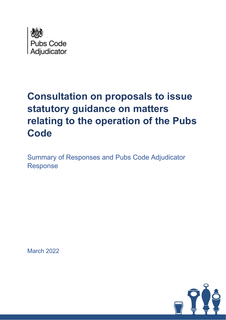

# **Consultation on proposals to issue statutory guidance on matters relating to the operation of the Pubs Code**

Summary of Responses and Pubs Code Adjudicator Response

March 2022

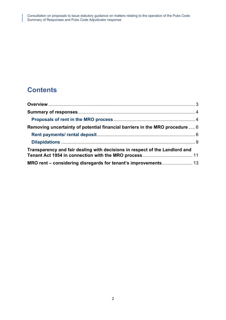### **Contents**

| Removing uncertainty of potential financial barriers in the MRO procedure  6 |  |
|------------------------------------------------------------------------------|--|
|                                                                              |  |
|                                                                              |  |
| Transparency and fair dealing with decisions in respect of the Landlord and  |  |
| MRO rent - considering disregards for tenant's improvements 13               |  |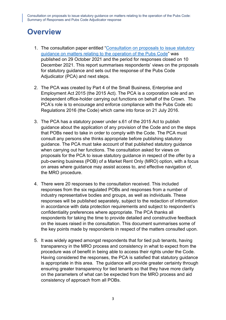## <span id="page-2-0"></span>**Overview**

- 1. The consultation paper entitled ["Consultation on proposals to issue statutory](https://www.gov.uk/government/consultations/proposals-to-issue-guidance-about-the-application-of-the-market-rent-only-option)  [guidance on matters relating to the operation of the Pubs Code"](https://www.gov.uk/government/consultations/proposals-to-issue-guidance-about-the-application-of-the-market-rent-only-option) was published on 29 October 2021 and the period for responses closed on 10 December 2021. This report summarises respondents' views on the proposals for statutory guidance and sets out the response of the Pubs Code Adjudicator (PCA) and next steps.
- 2. The PCA was created by Part 4 of the Small Business, Enterprise and Employment Act 2015 (the 2015 Act). The PCA is a corporation sole and an independent office-holder carrying out functions on behalf of the Crown. The PCA's role is to encourage and enforce compliance with the Pubs Code etc Regulations 2016 (the Code) which came into force on 21 July 2016.
- 3. The PCA has a statutory power under s.61 of the 2015 Act to publish guidance about the application of any provision of the Code and on the steps that POBs need to take in order to comply with the Code. The PCA must consult any persons she thinks appropriate before publishing statutory guidance. The PCA must take account of that published statutory guidance when carrying out her functions. The consultation asked for views on proposals for the PCA to issue statutory guidance in respect of the offer by a pub-owning business (POB) of a Market Rent Only (MRO) option, with a focus on areas where guidance may assist access to, and effective navigation of, the MRO procedure.
- 4. There were 20 responses to the consultation received. This included responses from the six regulated POBs and responses from a number of industry representative bodies and groups, as well as individuals. These responses will be published separately, subject to the redaction of information in accordance with data protection requirements and subject to respondent's confidentiality preferences where appropriate. The PCA thanks all respondents for taking the time to provide detailed and constructive feedback on the issues raised in the consultation. This document summarises some of the key points made by respondents in respect of the matters consulted upon.
- 5. It was widely agreed amongst respondents that for tied pub tenants, having transparency in the MRO process and consistency in what to expect from the procedure was of benefit in being able to access their rights under the Code. Having considered the responses, the PCA is satisfied that statutory guidance is appropriate in this area. The guidance will provide greater certainty through ensuring greater transparency for tied tenants so that they have more clarity on the parameters of what can be expected from the MRO process and aid consistency of approach from all POBs.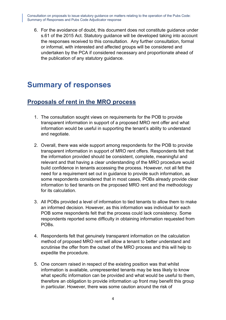6. For the avoidance of doubt, this document does not constitute guidance under s.61 of the 2015 Act. Statutory guidance will be developed taking into account the responses received to this consultation. Any further consultation, formal or informal, with interested and affected groups will be considered and undertaken by the PCA if considered necessary and proportionate ahead of the publication of any statutory guidance.

### <span id="page-3-0"></span>**Summary of responses**

#### <span id="page-3-1"></span>**Proposals of rent in the MRO process**

- 1. The consultation sought views on requirements for the POB to provide transparent information in support of a proposed MRO rent offer and what information would be useful in supporting the tenant's ability to understand and negotiate.
- 2. Overall, there was wide support among respondents for the POB to provide transparent information in support of MRO rent offers. Respondents felt that the information provided should be consistent, complete, meaningful and relevant and that having a clear understanding of the MRO procedure would build confidence in tenants accessing the process. However, not all felt the need for a requirement set out in guidance to provide such information, as some respondents considered that in most cases, POBs already provide clear information to tied tenants on the proposed MRO rent and the methodology for its calculation.
- 3. All POBs provided a level of information to tied tenants to allow them to make an informed decision. However, as this information was individual for each POB some respondents felt that the process could lack consistency. Some respondents reported some difficulty in obtaining information requested from POBs.
- 4. Respondents felt that genuinely transparent information on the calculation method of proposed MRO rent will allow a tenant to better understand and scrutinise the offer from the outset of the MRO process and this will help to expedite the procedure.
- 5. One concern raised in respect of the existing position was that whilst information is available, unrepresented tenants may be less likely to know what specific information can be provided and what would be useful to them, therefore an obligation to provide information up front may benefit this group in particular. However, there was some caution around the risk of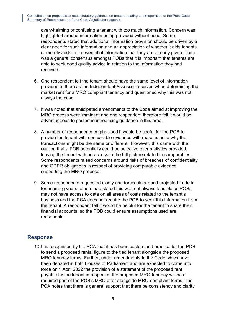overwhelming or confusing a tenant with too much information. Concern was highlighted around information being provided without need. Some respondents stated that additional information provision should be driven by a clear need for such information and an appreciation of whether it aids tenants or merely adds to the weight of information that they are already given. There was a general consensus amongst POBs that it is important that tenants are able to seek good quality advice in relation to the information they had received.

- 6. One respondent felt the tenant should have the same level of information provided to them as the Independent Assessor receives when determining the market rent for a MRO compliant tenancy and questioned why this was not always the case.
- 7. It was noted that anticipated amendments to the Code aimed at improving the MRO process were imminent and one respondent therefore felt it would be advantageous to postpone introducing guidance in this area.
- 8. A number of respondents emphasised it would be useful for the POB to provide the tenant with comparable evidence with reasons as to why the transactions might be the same or different. However, this came with the caution that a POB potentially could be selective over statistics provided, leaving the tenant with no access to the full picture related to comparables. Some respondents raised concerns around risks of breaches of confidentiality and GDPR obligations in respect of providing comparable evidence supporting the MRO proposal.
- 9. Some respondents requested clarity and forecasts around projected trade in forthcoming years, others had stated this was not always feasible as POBs may not have access to data on all areas of costs related to the tenant's business and the PCA does not require the POB to seek this information from the tenant. A respondent felt it would be helpful for the tenant to share their financial accounts, so the POB could ensure assumptions used are reasonable.

#### **Response**

10.It is recognised by the PCA that it has been custom and practice for the POB to send a proposed rental figure to the tied tenant alongside the proposed MRO tenancy terms. Further, under amendments to the Code which have been debated in both Houses of Parliament and are expected to come into force on 1 April 2022 the provision of a statement of the proposed rent payable by the tenant in respect of the proposed MRO-tenancy will be a required part of the POB's MRO offer alongside MRO-compliant terms. The PCA notes that there is general support that there be consistency and clarity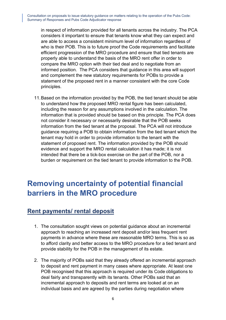in respect of information provided for all tenants across the industry. The PCA considers it important to ensure that tenants know what they can expect and are able to access a consistent minimum level of information regardless of who is their POB. This is to future proof the Code requirements and facilitate efficient progression of the MRO procedure and ensure that tied tenants are properly able to understand the basis of the MRO rent offer in order to compare the MRO option with their tied deal and to negotiate from an informed position. The PCA considers that guidance in this area will support and complement the new statutory requirements for POBs to provide a statement of the proposed rent in a manner consistent with the core Code principles.

11.Based on the information provided by the POB, the tied tenant should be able to understand how the proposed MRO rental figure has been calculated, including the reason for any assumptions involved in the calculation. The information that is provided should be based on this principle. The PCA does not consider it necessary or necessarily desirable that the POB seeks information from the tied tenant at the proposal. The PCA will not introduce guidance requiring a POB to obtain information from the tied tenant which the tenant may hold in order to provide information to the tenant with the statement of proposed rent. The information provided by the POB should evidence and support the MRO rental calculation it has made; it is not intended that there be a tick-box exercise on the part of the POB, nor a burden or requirement on the tied tenant to provide information to the POB.

# <span id="page-5-0"></span>**Removing uncertainty of potential financial barriers in the MRO procedure**

### <span id="page-5-1"></span>**Rent payments/ rental deposit**

- 1. The consultation sought views on potential guidance about an incremental approach to reaching an increased rent deposit and/or less frequent rent payments in advance where these are reasonable MRO terms. This is so as to afford clarity and better access to the MRO procedure for a tied tenant and provide stability for the POB in the management of its estate.
- 2. The majority of POBs said that they already offered an incremental approach to deposit and rent payment in many cases where appropriate. At least one POB recognised that this approach is required under its Code obligations to deal fairly and transparently with its tenants. Other POBs said that an incremental approach to deposits and rent terms are looked at on an individual basis and are agreed by the parties during negotiation where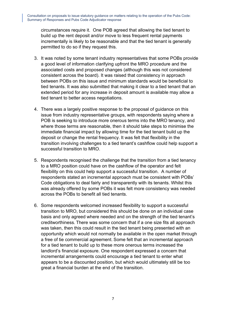circumstances require it. One POB agreed that allowing the tied tenant to build up the rent deposit and/or move to less frequent rental payments incrementally is likely to be reasonable and that the tied tenant is generally permitted to do so if they request this.

- 3. It was noted by some tenant industry representatives that some POBs provide a good level of information clarifying upfront the MRO procedure and the associated costs and proposed changes (although this was not considered consistent across the board). It was raised that consistency in approach between POBs on this issue and minimum standards would be beneficial to tied tenants. It was also submitted that making it clear to a tied tenant that an extended period for any increase in deposit amount is available may allow a tied tenant to better access negotiations.
- 4. There was a largely positive response to the proposal of guidance on this issue from industry representative groups, with respondents saying where a POB is seeking to introduce more onerous terms into the MRO tenancy, and where those terms are reasonable, then it should take steps to minimise the immediate financial impact by allowing time for the tied tenant build up the deposit or change the rental frequency. It was felt that flexibility in the transition involving challenges to a tied tenant's cashflow could help support a successful transition to MRO.
- 5. Respondents recognised the challenge that the transition from a tied tenancy to a MRO position could have on the cashflow of the operator and felt flexibility on this could help support a successful transition. A number of respondents stated an incremental approach must be consistent with POBs' Code obligations to deal fairly and transparently with its tenants. Whilst this was already offered by some POBs it was felt more consistency was needed across the POBs to benefit all tied tenants.
- 6. Some respondents welcomed increased flexibility to support a successful transition to MRO, but considered this should be done on an individual case basis and only agreed where needed and on the strength of the tied tenant's creditworthiness. There was some concern that if a one size fits all approach was taken, then this could result in the tied tenant being presented with an opportunity which would not normally be available in the open market through a free of tie commercial agreement. Some felt that an incremental approach for a tied tenant to build up to these more onerous terms increased the landlord's financial exposure. One respondent expressed a concern that incremental arrangements could encourage a tied tenant to enter what appears to be a discounted position, but which would ultimately still be too great a financial burden at the end of the transition.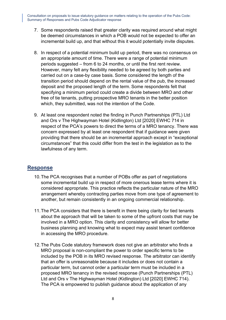- 7. Some respondents raised that greater clarity was required around what might be deemed circumstances in which a POB would not be expected to offer an incremental build up, and that without this it would potentially invite disputes.
- 8. In respect of a potential minimum build up period, there was no consensus on an appropriate amount of time. There were a range of potential minimum periods suggested – from 6 to 24 months, or until the first rent review. However, many felt any flexibility needed to be agreed by both parties and carried out on a case-by case basis. Some considered the length of the transition period should depend on the rental value of the pub, the increased deposit and the proposed length of the term. Some respondents felt that specifying a minimum period could create a divide between MRO and other free of tie tenants, putting prospective MRO tenants in the better position which, they submitted, was not the intention of the Code.
- 9. At least one respondent noted the finding in Punch Partnerships (PTL) Ltd and Ors v The Highwayman Hotel (Kidlington) Ltd [2020] EWHC 714 in respect of the PCA's powers to direct the terms of a MRO tenancy. There was concern expressed by at least one respondent that if guidance were given providing that there should be an incremental approach except in "exceptional circumstances" that this could differ from the test in the legislation as to the lawfulness of any term.

#### **Response**

- 10.The PCA recognises that a number of POBs offer as part of negotiations some incremental build up in respect of more onerous lease terms where it is considered appropriate. This practice reflects the particular nature of the MRO arrangement whereby contracting parties move from one type of agreement to another, but remain consistently in an ongoing commercial relationship.
- 11.The PCA considers that there is benefit in there being clarity for tied tenants about the approach that will be taken to some of the upfront costs that may be involved in a MRO option. This clarity and consistency will allow for better business planning and knowing what to expect may assist tenant confidence in accessing the MRO procedure.
- 12.The Pubs Code statutory framework does not give an arbitrator who finds a MRO proposal is non-compliant the power to order specific terms to be included by the POB in its MRO revised response. The arbitrator can identify that an offer is unreasonable because it includes or does not contain a particular term, but cannot order a particular term must be included in a proposed MRO tenancy in the revised response (Punch Partnerships (PTL) Ltd and Ors v The Highwayman Hotel (Kidlington) Ltd [2020] EWHC 714). The PCA is empowered to publish guidance about the application of any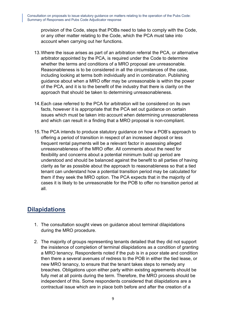provision of the Code, steps that POBs need to take to comply with the Code, or any other matter relating to the Code, which the PCA must take into account when carrying out her functions.

- 13.Where the issue arises as part of an arbitration referral the PCA, or alternative arbitrator appointed by the PCA, is required under the Code to determine whether the terms and conditions of a MRO proposal are unreasonable. Reasonableness is to be considered in all the circumstances of the case, including looking at terms both individually and in combination. Publishing guidance about when a MRO offer may be unreasonable is within the power of the PCA, and it is to the benefit of the industry that there is clarity on the approach that should be taken to determining unreasonableness.
- 14.Each case referred to the PCA for arbitration will be considered on its own facts, however it is appropriate that the PCA set out guidance on certain issues which must be taken into account when determining unreasonableness and which can result in a finding that a MRO proposal is non-compliant.
- 15.The PCA intends to produce statutory guidance on how a POB's approach to offering a period of transition in respect of an increased deposit or less frequent rental payments will be a relevant factor in assessing alleged unreasonableness of the MRO offer. All comments about the need for flexibility and concerns about a potential minimum build up period are understood and should be balanced against the benefit to all parties of having clarity as far as possible about the approach to reasonableness so that a tied tenant can understand how a potential transition period may be calculated for them if they seek the MRO option. The PCA expects that in the majority of cases it is likely to be unreasonable for the POB to offer no transition period at all.

### <span id="page-8-0"></span>**Dilapidations**

- 1. The consultation sought views on guidance about terminal dilapidations during the MRO procedure.
- 2. The majority of groups representing tenants detailed that they did not support the insistence of completion of terminal dilapidations as a condition of granting a MRO tenancy. Respondents noted if the pub is in a poor state and condition then there a several avenues of redress to the POB in either the tied lease, or new MRO tenancy, to ensure that the tenant takes steps to remedy any breaches. Obligations upon either party within existing agreements should be fully met at all points during the term. Therefore, the MRO process should be independent of this. Some respondents considered that dilapidations are a contractual issue which are in place both before and after the creation of a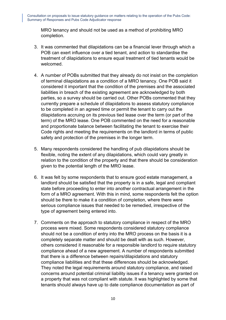MRO tenancy and should not be used as a method of prohibiting MRO completion.

- 3. It was commented that dilapidations can be a financial lever through which a POB can exert influence over a tied tenant, and action to standardise the treatment of dilapidations to ensure equal treatment of tied tenants would be welcomed.
- 4. A number of POBs submitted that they already do not insist on the completion of terminal dilapidations as a condition of a MRO tenancy. One POB said it considered it important that the condition of the premises and the associated liabilities in breach of the existing agreement are acknowledged by both parties, so a survey should be carried out. Other POBs commented that they currently prepare a schedule of dilapidations to assess statutory compliance to be completed in an agreed time or permit the tenant to carry out the dilapidations accruing on its previous tied lease over the term (or part of the term) of the MRO lease. One POB commented on the need for a reasonable and proportionate balance between facilitating the tenant to exercise their Code rights and meeting the requirements on the landlord in terms of public safety and protection of the premises in the longer term.
- 5. Many respondents considered the handling of pub dilapidations should be flexible, noting the extent of any dilapidations, which could vary greatly in relation to the condition of the property and that there should be consideration given to the potential length of the MRO lease.
- 6. It was felt by some respondents that to ensure good estate management, a landlord should be satisfied that the property is in a safe, legal and compliant state before proceeding to enter into another contractual arrangement in the form of a MRO agreement. With this in mind, some respondents felt the option should be there to make it a condition of completion, where there were serious compliance issues that needed to be remedied, irrespective of the type of agreement being entered into.
- 7. Comments on the approach to statutory compliance in respect of the MRO process were mixed. Some respondents considered statutory compliance should not be a condition of entry into the MRO process on the basis it is a completely separate matter and should be dealt with as such. However, others considered it reasonable for a responsible landlord to require statutory compliance ahead of a new agreement. A number of respondents submitted that there is a difference between repairs/dilapidations and statutory compliance liabilities and that these differences should be acknowledged. They noted the legal requirements around statutory compliance, and raised concerns around potential criminal liability issues if a tenancy were granted on a property that was not compliant with statute. It was highlighted by some that tenants should always have up to date compliance documentation as part of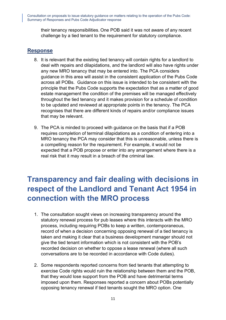their tenancy responsibilities. One POB said it was not aware of any recent challenge by a tied tenant to the requirement for statutory compliance.

#### **Response**

- 8. It is relevant that the existing tied tenancy will contain rights for a landlord to deal with repairs and dilapidations, and the landlord will also have rights under any new MRO tenancy that may be entered into. The PCA considers guidance in this area will assist in the consistent application of the Pubs Code across all POBs. Guidance on this issue is intended to be consistent with the principle that the Pubs Code supports the expectation that as a matter of good estate management the condition of the premises will be managed effectively throughout the tied tenancy and it makes provision for a schedule of condition to be updated and reviewed at appropriate points in the tenancy. The PCA recognises that there are different kinds of repairs and/or compliance issues that may be relevant.
- 9. The PCA is minded to proceed with guidance on the basis that if a POB requires completion of terminal dilapidations as a condition of entering into a MRO tenancy the PCA may consider that this is unreasonable, unless there is a compelling reason for the requirement. For example, it would not be expected that a POB propose or enter into any arrangement where there is a real risk that it may result in a breach of the criminal law.

# <span id="page-10-0"></span>**Transparency and fair dealing with decisions in respect of the Landlord and Tenant Act 1954 in connection with the MRO process**

- 1. The consultation sought views on increasing transparency around the statutory renewal process for pub leases where this interacts with the MRO process, including requiring POBs to keep a written, contemporaneous, record of when a decision concerning opposing renewal of a tied tenancy is taken and making it clear that a business development manager should not give the tied tenant information which is not consistent with the POB's recorded decision on whether to oppose a lease renewal (where all such conversations are to be recorded in accordance with Code duties).
- 2. Some respondents reported concerns from tied tenants that attempting to exercise Code rights would ruin the relationship between them and the POB, that they would lose support from the POB and have detrimental terms imposed upon them. Responses reported a concern about POBs potentially opposing tenancy renewal if tied tenants sought the MRO option. One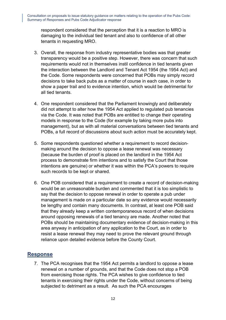respondent considered that the perception that it is a reaction to MRO is damaging to the individual tied tenant and also to confidence of all other tenants in requesting MRO.

- 3. Overall, the response from industry representative bodies was that greater transparency would be a positive step. However, there was concern that such requirements would not in themselves instil confidence in tied tenants given the interaction between the Landlord and Tenant Act 1954 (the 1954 Act) and the Code. Some respondents were concerned that POBs may simply record decisions to take back pubs as a matter of course in each case, in order to show a paper trail and to evidence intention, which would be detrimental for all tied tenants.
- 4. One respondent considered that the Parliament knowingly and deliberately did not attempt to alter how the 1954 Act applied to regulated pub tenancies via the Code. It was noted that POBs are entitled to change their operating models in response to the Code (for example by taking more pubs into management), but as with all material conversations between tied tenants and POBs, a full record of discussions about such action must be accurately kept.
- 5. Some respondents questioned whether a requirement to record decisionmaking around the decision to oppose a lease renewal was necessary (because the burden of proof is placed on the landlord in the 1954 Act process to demonstrate firm intentions and to satisfy the Court that those intentions are genuine) or whether it was within the PCA's powers to require such records to be kept or shared.
- 6. One POB considered that a requirement to create a record of decision-making would be an unreasonable burden and commented that it is too simplistic to say that the decision to oppose renewal in order to operate a pub under management is made on a particular date so any evidence would necessarily be lengthy and contain many documents. In contrast, at least one POB said that they already keep a written contemporaneous record of when decisions around opposing renewals of a tied tenancy are made. Another noted that POBs should be maintaining documentary evidence of decision-making in this area anyway in anticipation of any application to the Court, as in order to resist a lease renewal they may need to prove the relevant ground through reliance upon detailed evidence before the County Court.

#### **Response**

7. The PCA recognises that the 1954 Act permits a landlord to oppose a lease renewal on a number of grounds, and that the Code does not stop a POB from exercising those rights. The PCA wishes to give confidence to tied tenants in exercising their rights under the Code, without concerns of being subjected to detriment as a result. As such the PCA encourages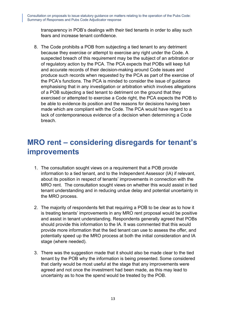transparency in POB's dealings with their tied tenants in order to allay such fears and increase tenant confidence.

8. The Code prohibits a POB from subjecting a tied tenant to any detriment because they exercise or attempt to exercise any right under the Code. A suspected breach of this requirement may be the subject of an arbitration or of regulatory action by the PCA. The PCA expects that POBs will keep full and accurate records of their decision-making around Code issues and produce such records when requested by the PCA as part of the exercise of the PCA's functions. The PCA is minded to consider the issue of guidance emphasising that in any investigation or arbitration which involves allegations of a POB subjecting a tied tenant to detriment on the ground that they exercised or attempted to exercise a Code right, the PCA expects the POB to be able to evidence its position and the reasons for decisions having been made which are compliant with the Code. The PCA would have regard to a lack of contemporaneous evidence of a decision when determining a Code breach.

## <span id="page-12-0"></span>**MRO rent – considering disregards for tenant's improvements**

- 1. The consultation sought views on a requirement that a POB provide information to a tied tenant, and to the Independent Assessor (IA) if relevant, about its position in respect of tenants' improvements in connection with the MRO rent. The consultation sought views on whether this would assist in tied tenant understanding and in reducing undue delay and potential uncertainty in the MRO process.
- 2. The majority of respondents felt that requiring a POB to be clear as to how it is treating tenants' improvements in any MRO rent proposal would be positive and assist in tenant understanding. Respondents generally agreed that POBs should provide this information to the IA. It was commented that this would provide more information that the tied tenant can use to assess the offer, and potentially speed up the MRO process at both the initial consideration and IA stage (where needed).
- 3. There was the suggestion made that it should also be made clear to the tied tenant by the POB why the information is being presented. Some considered that clarity would be most useful at the stage that any improvements were agreed and not once the investment had been made, as this may lead to uncertainty as to how the spend would be treated by the POB.